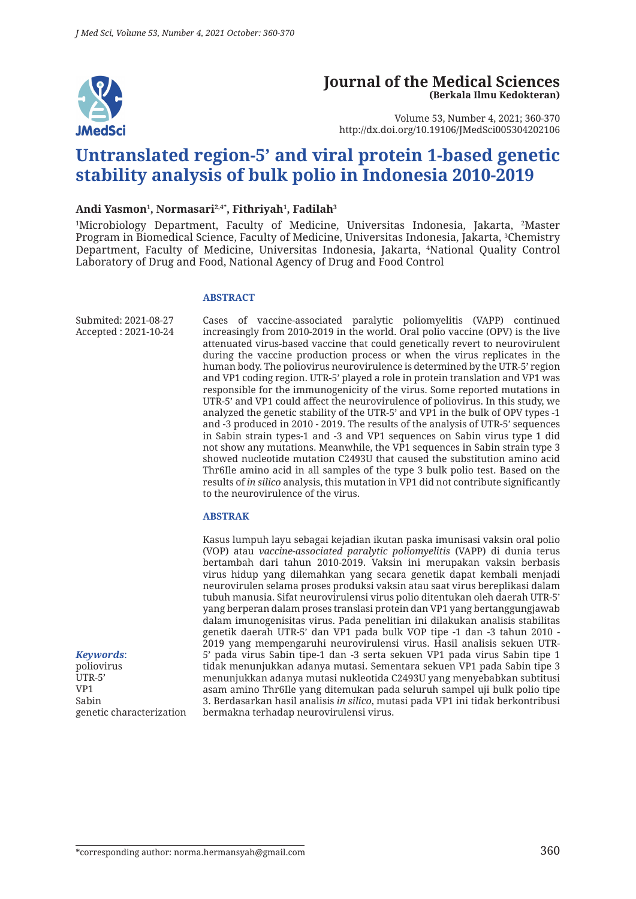

#### **Journal of the Medical Sciences (Berkala Ilmu Kedokteran)**

Volume 53, Number 4, 2021; 360-370 http://dx.doi.org/10.19106/JMedSci005304202106

# **Untranslated region-5' and viral protein 1-based genetic stability analysis of bulk polio in Indonesia 2010-2019**

#### **Andi Yasmon1 , Normasari2,4\*, Fithriyah1 , Fadilah3**

<sup>1</sup>Microbiology Department, Faculty of Medicine, Universitas Indonesia, Jakarta, <sup>2</sup>Master Program in Biomedical Science, Faculty of Medicine, Universitas Indonesia, Jakarta, 3 Chemistry Department, Faculty of Medicine, Universitas Indonesia, Jakarta, 4 National Quality Control Laboratory of Drug and Food, National Agency of Drug and Food Control

#### **ABSTRACT**

Submited: 2021-08-27 Accepted : 2021-10-24 Cases of vaccine-associated paralytic poliomyelitis (VAPP) continued increasingly from 2010-2019 in the world. Oral polio vaccine (OPV) is the live attenuated virus-based vaccine that could genetically revert to neurovirulent during the vaccine production process or when the virus replicates in the human body. The poliovirus neurovirulence is determined by the UTR-5' region and VP1 coding region. UTR-5' played a role in protein translation and VP1 was responsible for the immunogenicity of the virus. Some reported mutations in UTR-5' and VP1 could affect the neurovirulence of poliovirus. In this study, we analyzed the genetic stability of the UTR-5' and VP1 in the bulk of OPV types -1 and -3 produced in 2010 - 2019. The results of the analysis of UTR-5' sequences in Sabin strain types-1 and -3 and VP1 sequences on Sabin virus type 1 did not show any mutations. Meanwhile, the VP1 sequences in Sabin strain type 3 showed nucleotide mutation C2493U that caused the substitution amino acid Thr6Ile amino acid in all samples of the type 3 bulk polio test. Based on the results of *in silico* analysis, this mutation in VP1 did not contribute significantly to the neurovirulence of the virus.

#### **ABSTRAK**

Kasus lumpuh layu sebagai kejadian ikutan paska imunisasi vaksin oral polio (VOP) atau *vaccine-associated paralytic poliomyelitis* (VAPP) di dunia terus bertambah dari tahun 2010-2019. Vaksin ini merupakan vaksin berbasis virus hidup yang dilemahkan yang secara genetik dapat kembali menjadi neurovirulen selama proses produksi vaksin atau saat virus bereplikasi dalam tubuh manusia. Sifat neurovirulensi virus polio ditentukan oleh daerah UTR-5' yang berperan dalam proses translasi protein dan VP1 yang bertanggungjawab dalam imunogenisitas virus. Pada penelitian ini dilakukan analisis stabilitas genetik daerah UTR-5' dan VP1 pada bulk VOP tipe -1 dan -3 tahun 2010 - 2019 yang mempengaruhi neurovirulensi virus. Hasil analisis sekuen UTR-5' pada virus Sabin tipe-1 dan -3 serta sekuen VP1 pada virus Sabin tipe 1 tidak menunjukkan adanya mutasi. Sementara sekuen VP1 pada Sabin tipe 3 menunjukkan adanya mutasi nukleotida C2493U yang menyebabkan subtitusi asam amino Thr6Ile yang ditemukan pada seluruh sampel uji bulk polio tipe 3. Berdasarkan hasil analisis *in silico*, mutasi pada VP1 ini tidak berkontribusi bermakna terhadap neurovirulensi virus.

*Keywords*: poliovirus UTR-5' VP1 Sabin genetic characterization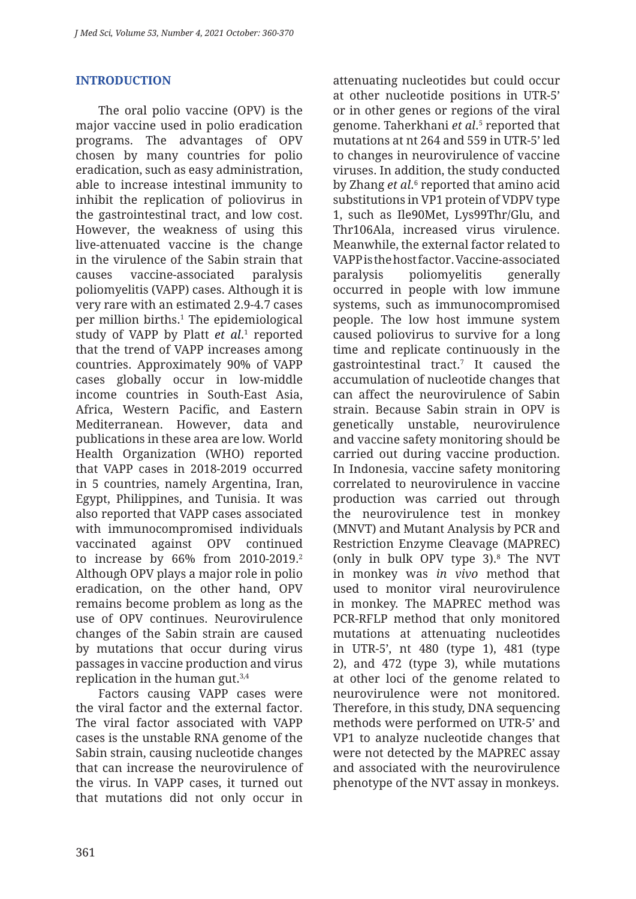# **INTRODUCTION**

The oral polio vaccine (OPV) is the major vaccine used in polio eradication programs. The advantages of OPV chosen by many countries for polio eradication, such as easy administration, able to increase intestinal immunity to inhibit the replication of poliovirus in the gastrointestinal tract, and low cost. However, the weakness of using this live-attenuated vaccine is the change in the virulence of the Sabin strain that causes vaccine-associated paralysis poliomyelitis (VAPP) cases. Although it is very rare with an estimated 2.9-4.7 cases per million births.1 The epidemiological study of VAPP by Platt *et al.*<sup>1</sup> reported that the trend of VAPP increases among countries. Approximately 90% of VAPP cases globally occur in low-middle income countries in South-East Asia, Africa, Western Pacific, and Eastern Mediterranean. However, data and publications in these area are low. World Health Organization (WHO) reported that VAPP cases in 2018-2019 occurred in 5 countries, namely Argentina, Iran, Egypt, Philippines, and Tunisia. It was also reported that VAPP cases associated with immunocompromised individuals vaccinated against OPV continued to increase by 66% from 2010-2019.2 Although OPV plays a major role in polio eradication, on the other hand, OPV remains become problem as long as the use of OPV continues. Neurovirulence changes of the Sabin strain are caused by mutations that occur during virus passages in vaccine production and virus replication in the human gut.3,4

Factors causing VAPP cases were the viral factor and the external factor. The viral factor associated with VAPP cases is the unstable RNA genome of the Sabin strain, causing nucleotide changes that can increase the neurovirulence of the virus. In VAPP cases, it turned out that mutations did not only occur in attenuating nucleotides but could occur at other nucleotide positions in UTR-5' or in other genes or regions of the viral genome. Taherkhani *et al*.<sup>5</sup> reported that mutations at nt 264 and 559 in UTR-5' led to changes in neurovirulence of vaccine viruses. In addition, the study conducted by Zhang *et al*.<sup>6</sup> reported that amino acid substitutions in VP1 protein of VDPV type 1, such as Ile90Met, Lys99Thr/Glu, and Thr106Ala, increased virus virulence. Meanwhile, the external factor related to VAPP is the host factor. Vaccine-associated paralysis poliomyelitis generally occurred in people with low immune systems, such as immunocompromised people. The low host immune system caused poliovirus to survive for a long time and replicate continuously in the gastrointestinal tract.7 It caused the accumulation of nucleotide changes that can affect the neurovirulence of Sabin strain. Because Sabin strain in OPV is genetically unstable, neurovirulence and vaccine safety monitoring should be carried out during vaccine production. In Indonesia, vaccine safety monitoring correlated to neurovirulence in vaccine production was carried out through the neurovirulence test in monkey (MNVT) and Mutant Analysis by PCR and Restriction Enzyme Cleavage (MAPREC) (only in bulk OPV type 3).8 The NVT in monkey was *in vivo* method that used to monitor viral neurovirulence in monkey. The MAPREC method was PCR-RFLP method that only monitored mutations at attenuating nucleotides in UTR-5', nt 480 (type 1), 481 (type 2), and 472 (type 3), while mutations at other loci of the genome related to neurovirulence were not monitored. Therefore, in this study, DNA sequencing methods were performed on UTR-5' and VP1 to analyze nucleotide changes that were not detected by the MAPREC assay and associated with the neurovirulence phenotype of the NVT assay in monkeys.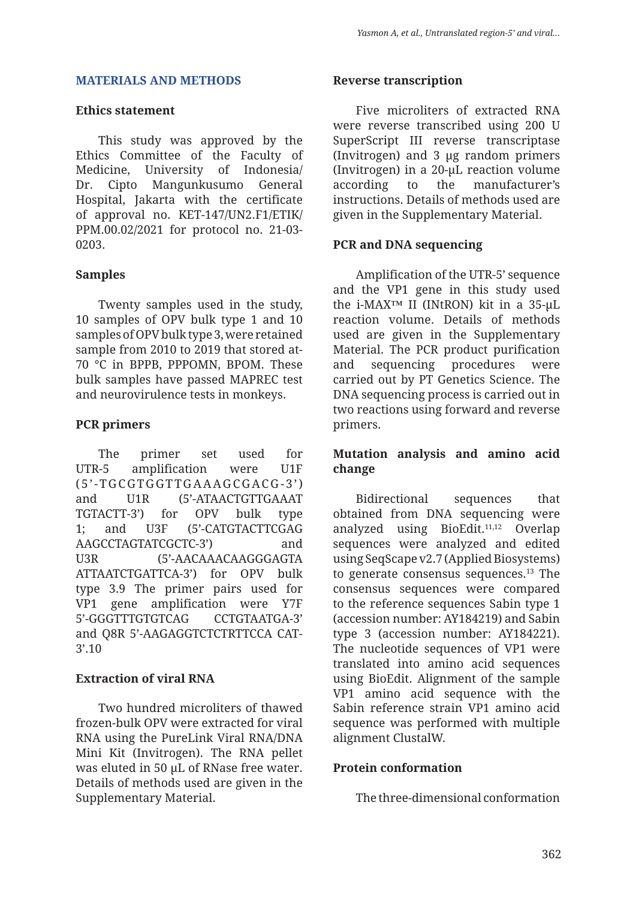#### **MATERIALS AND METHODS**

#### **Ethics statement**

This study was approved by the Ethics Committee of the Faculty of Medicine, University of Indonesia/ Dr. Cipto Mangunkusumo General Hospital, Jakarta with the certificate of approval no. KET-147/UN2.F1/ETIK/ PPM.00.02/2021 for protocol no. 21-03- 0203.

# **Samples**

Twenty samples used in the study, 10 samples of OPV bulk type 1 and 10 samples of OPV bulk type 3, were retained sample from 2010 to 2019 that stored at-70 °C in BPPB, PPPOMN, BPOM. These bulk samples have passed MAPREC test and neurovirulence tests in monkeys.

# **PCR primers**

The primer set used for UTR-5 amplification were U1F ( 5 ' - TG C GTG GT TG A A AG C G AC G - 3 ' ) and U1R (5'-ATAACTGTTGAAAT TGTACTT-3') for OPV bulk type 1; and U3F (5'-CATGTACTTCGAG AAGCCTAGTATCGCTC-3') and U3R (5'-AACAAACAAGGGAGTA ATTAATCTGATTCA-3') for OPV bulk type 3.9 The primer pairs used for VP1 gene amplification were Y7F 5'-GGGTTTGTGTCAG CCTGTAATGA-3' and Q8R 5'-AAGAGGTCTCTRTTCCA CAT-3'.10

### **Extraction of viral RNA**

Two hundred microliters of thawed frozen-bulk OPV were extracted for viral RNA using the PureLink Viral RNA/DNA Mini Kit (Invitrogen). The RNA pellet was eluted in 50 µL of RNase free water. Details of methods used are given in the Supplementary Material.

#### **Reverse transcription**

Five microliters of extracted RNA were reverse transcribed using 200 U SuperScript III reverse transcriptase (Invitrogen) and 3 µg random primers (Invitrogen) in a 20-µL reaction volume according to the manufacturer's instructions. Details of methods used are given in the Supplementary Material.

# **PCR and DNA sequencing**

Amplification of the UTR-5' sequence and the VP1 gene in this study used the i-MAX™ II (INtRON) kit in a 35-µL reaction volume. Details of methods used are given in the Supplementary Material. The PCR product purification and sequencing procedures were carried out by PT Genetics Science. The DNA sequencing process is carried out in two reactions using forward and reverse primers.

### **Mutation analysis and amino acid change**

Bidirectional sequences that obtained from DNA sequencing were analyzed using BioEdit.11,12 Overlap sequences were analyzed and edited using SeqScape v2.7 (Applied Biosystems) to generate consensus sequences.13 The consensus sequences were compared to the reference sequences Sabin type 1 (accession number: AY184219) and Sabin type 3 (accession number: AY184221). The nucleotide sequences of VP1 were translated into amino acid sequences using BioEdit. Alignment of the sample VP1 amino acid sequence with the Sabin reference strain VP1 amino acid sequence was performed with multiple alignment ClustalW.

### **Protein conformation**

The three-dimensional conformation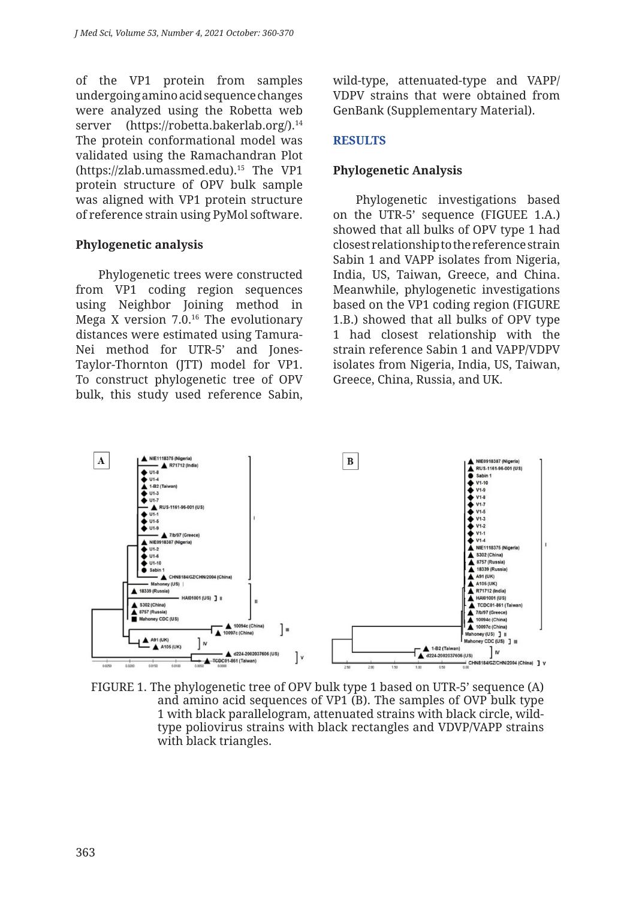of the VP1 protein from samples undergoing amino acid sequence changes were analyzed using the Robetta web server (https://robetta.bakerlab.org/).<sup>14</sup> The protein conformational model was validated using the Ramachandran Plot (https://zlab.umassmed.edu).15 The VP1 protein structure of OPV bulk sample was aligned with VP1 protein structure of reference strain using PyMol software.

# **Phylogenetic analysis**

Phylogenetic trees were constructed from VP1 coding region sequences using Neighbor Joining method in Mega X version 7.0.16 The evolutionary distances were estimated using Tamura-Nei method for UTR-5' and Jones-Taylor-Thornton (JTT) model for VP1. To construct phylogenetic tree of OPV bulk, this study used reference Sabin,

wild-type, attenuated-type and VAPP/ VDPV strains that were obtained from GenBank (Supplementary Material).

# **RESULTS**

# **Phylogenetic Analysis**

Phylogenetic investigations based on the UTR-5' sequence (FIGUEE 1.A.) showed that all bulks of OPV type 1 had closest relationship to the reference strain Sabin 1 and VAPP isolates from Nigeria, India, US, Taiwan, Greece, and China. Meanwhile, phylogenetic investigations based on the VP1 coding region (FIGURE 1.B.) showed that all bulks of OPV type 1 had closest relationship with the strain reference Sabin 1 and VAPP/VDPV isolates from Nigeria, India, US, Taiwan, Greece, China, Russia, and UK.



FIGURE 1. The phylogenetic tree of OPV bulk type 1 based on UTR-5' sequence (A) and amino acid sequences of VP1 (B). The samples of OVP bulk type 1 with black parallelogram, attenuated strains with black circle, wildtype poliovirus strains with black rectangles and VDVP/VAPP strains with black triangles.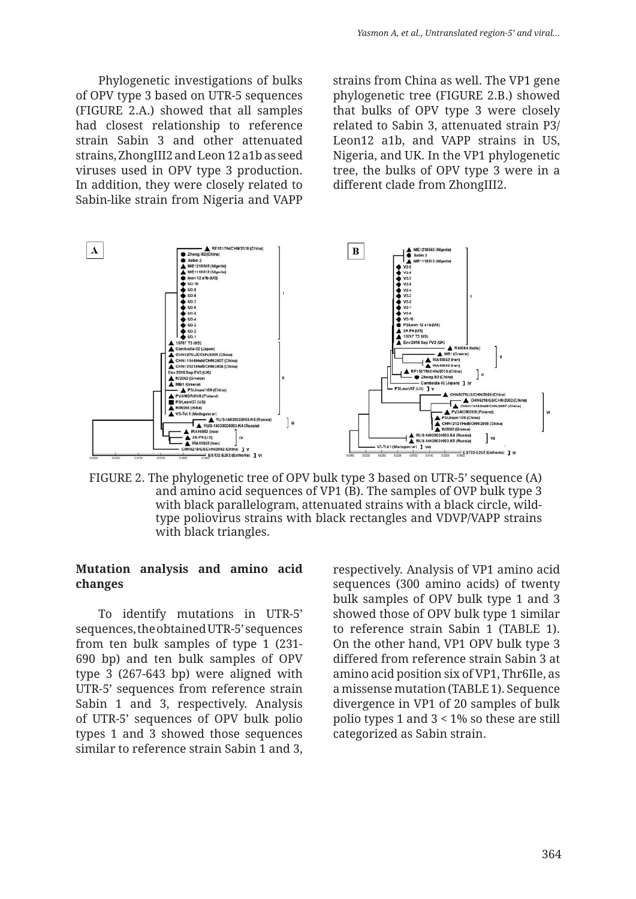Phylogenetic investigations of bulks of OPV type 3 based on UTR-5 sequences (FIGURE 2.A.) showed that all samples had closest relationship to reference strain Sabin 3 and other attenuated strains, ZhongIII2 and Leon 12 a1b as seed viruses used in OPV type 3 production. In addition, they were closely related to Sabin-like strain from Nigeria and VAPP

strains from China as well. The VP1 gene phylogenetic tree (FIGURE 2.B.) showed that bulks of OPV type 3 were closely related to Sabin 3, attenuated strain P3/ Leon12 a1b, and VAPP strains in US, Nigeria, and UK. In the VP1 phylogenetic tree, the bulks of OPV type 3 were in a different clade from ZhongIII2.



FIGURE 2. The phylogenetic tree of OPV bulk type 3 based on UTR-5' sequence (A) and amino acid sequences of VP1 (B). The samples of OVP bulk type 3 with black parallelogram, attenuated strains with a black circle, wildtype poliovirus strains with black rectangles and VDVP/VAPP strains with black triangles.

#### **Mutation analysis and amino acid changes**

To identify mutations in UTR-5' sequences, the obtained UTR-5' sequences from ten bulk samples of type 1 (231- 690 bp) and ten bulk samples of OPV type 3 (267-643 bp) were aligned with UTR-5' sequences from reference strain Sabin 1 and 3, respectively. Analysis of UTR-5' sequences of OPV bulk polio types 1 and 3 showed those sequences similar to reference strain Sabin 1 and 3, respectively. Analysis of VP1 amino acid sequences (300 amino acids) of twenty bulk samples of OPV bulk type 1 and 3 showed those of OPV bulk type 1 similar to reference strain Sabin 1 (TABLE 1). On the other hand, VP1 OPV bulk type 3 differed from reference strain Sabin 3 at amino acid position six of VP1, Thr6Ile, as a missense mutation (TABLE 1). Sequence divergence in VP1 of 20 samples of bulk polio types 1 and 3 < 1% so these are still categorized as Sabin strain.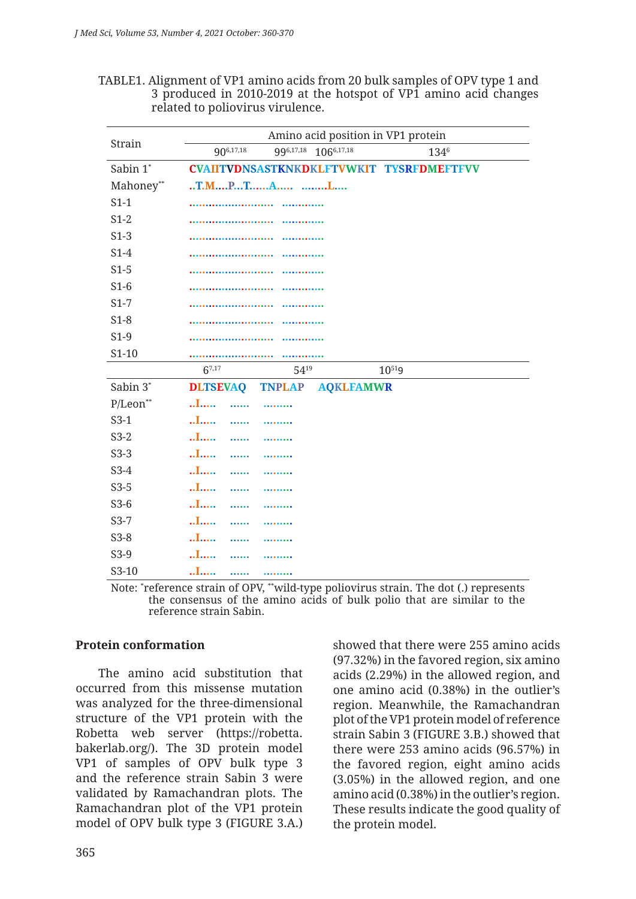| TABLE1. Alignment of VP1 amino acids from 20 bulk samples of OPV type 1 and |
|-----------------------------------------------------------------------------|
| 3 produced in 2010-2019 at the hotspot of VP1 amino acid changes            |
| related to poliovirus virulence.                                            |

| Strain        | Amino acid position in VP1 protein                   |
|---------------|------------------------------------------------------|
|               | 996,17,18 1066,17,18<br>906,17,18<br>1346            |
| Sabin 1*      | CVAIITVDNSASTKNKDKLFTVWKIT TYSRFDMEFTFVV             |
| Mahoney**     |                                                      |
| $S1-1$        |                                                      |
| $S1-2$        |                                                      |
| $S1-3$        |                                                      |
| $S1-4$        |                                                      |
| $S1-5$        |                                                      |
| $S1-6$        |                                                      |
| $S1-7$        |                                                      |
| $S1-8$        |                                                      |
| $S1-9$        |                                                      |
| $S1-10$       |                                                      |
|               | $6^{7,17}$<br>5419<br>$10^{519}$                     |
| Sabin 3*      | <b>DLTSEVAQ</b><br><b>TNPLAP</b><br><b>AQKLFAMWR</b> |
| $P/Leon^{**}$ | $\ldots$                                             |
| $S3-1$        | $\ldots$                                             |
| $S3-2$        | $\ldots$<br>.                                        |
| $S3-3$        | $\ldots$                                             |
| $S3-4$        | $\ldots$                                             |
| $S3-5$        | $\ldots$<br>                                         |
| $S3-6$        | $\ldots$                                             |
| $S3-7$        | $\ldots$<br>.                                        |
| $S3-8$        | $\ldots$                                             |
| $S3-9$        | $\ldots$<br>.                                        |
| $S3-10$       | I<br><br>                                            |

Note: \* reference strain of OPV, \*\*wild-type poliovirus strain. The dot (.) represents the consensus of the amino acids of bulk polio that are similar to the reference strain Sabin.

### **Protein conformation**

The amino acid substitution that occurred from this missense mutation was analyzed for the three-dimensional structure of the VP1 protein with the Robetta web server (https://robetta. bakerlab.org/). The 3D protein model VP1 of samples of OPV bulk type 3 and the reference strain Sabin 3 were validated by Ramachandran plots. The Ramachandran plot of the VP1 protein model of OPV bulk type 3 (FIGURE 3.A.) showed that there were 255 amino acids (97.32%) in the favored region, six amino acids (2.29%) in the allowed region, and one amino acid (0.38%) in the outlier's region. Meanwhile, the Ramachandran plot of the VP1 protein model of reference strain Sabin 3 (FIGURE 3.B.) showed that there were 253 amino acids (96.57%) in the favored region, eight amino acids (3.05%) in the allowed region, and one amino acid (0.38%) in the outlier's region. These results indicate the good quality of the protein model.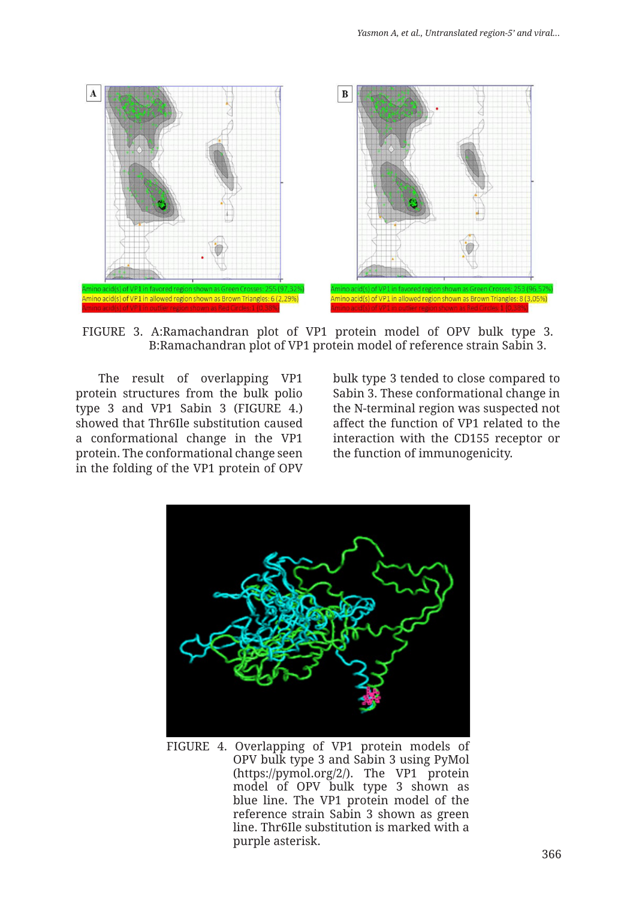

FIGURE 3. A:Ramachandran plot of VP1 protein model of OPV bulk type 3. B:Ramachandran plot of VP1 protein model of reference strain Sabin 3.

The result of overlapping VP1 protein structures from the bulk polio type 3 and VP1 Sabin 3 (FIGURE 4.) showed that Thr6Ile substitution caused a conformational change in the VP1 protein. The conformational change seen in the folding of the VP1 protein of OPV bulk type 3 tended to close compared to Sabin 3. These conformational change in the N-terminal region was suspected not affect the function of VP1 related to the interaction with the CD155 receptor or the function of immunogenicity.



FIGURE 4. Overlapping of VP1 protein models of OPV bulk type 3 and Sabin 3 using PyMol (https://pymol.org/2/). The VP1 protein model of OPV bulk type 3 shown as blue line. The VP1 protein model of the reference strain Sabin 3 shown as green line. Thr6Ile substitution is marked with a purple asterisk.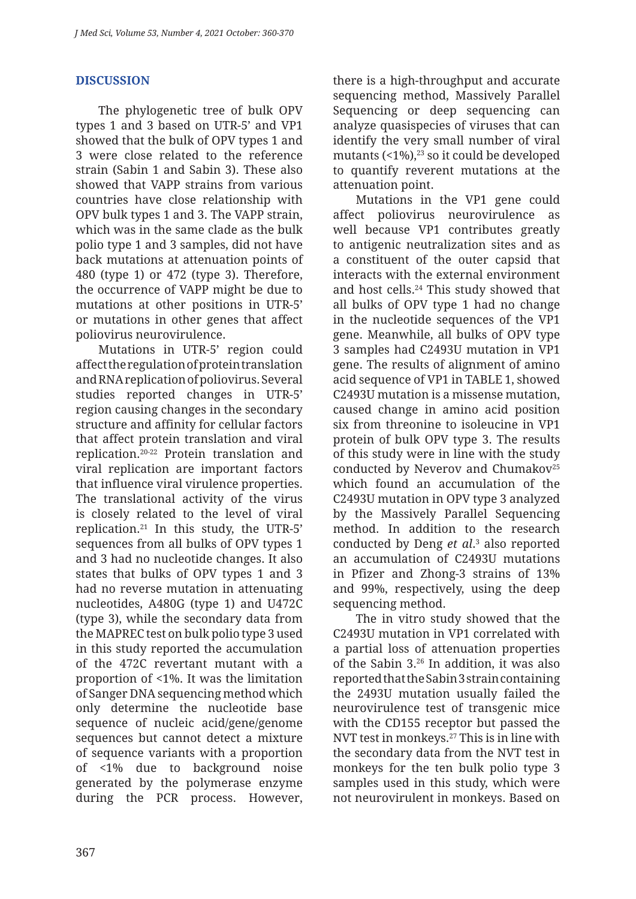# **DISCUSSION**

The phylogenetic tree of bulk OPV types 1 and 3 based on UTR-5' and VP1 showed that the bulk of OPV types 1 and 3 were close related to the reference strain (Sabin 1 and Sabin 3). These also showed that VAPP strains from various countries have close relationship with OPV bulk types 1 and 3. The VAPP strain, which was in the same clade as the bulk polio type 1 and 3 samples, did not have back mutations at attenuation points of 480 (type 1) or 472 (type 3). Therefore, the occurrence of VAPP might be due to mutations at other positions in UTR-5' or mutations in other genes that affect poliovirus neurovirulence.

Mutations in UTR-5' region could affect the regulation of protein translation and RNA replication of poliovirus. Several studies reported changes in UTR-5' region causing changes in the secondary structure and affinity for cellular factors that affect protein translation and viral replication.20-22 Protein translation and viral replication are important factors that influence viral virulence properties. The translational activity of the virus is closely related to the level of viral replication.21 In this study, the UTR-5' sequences from all bulks of OPV types 1 and 3 had no nucleotide changes. It also states that bulks of OPV types 1 and 3 had no reverse mutation in attenuating nucleotides, A480G (type 1) and U472C (type 3), while the secondary data from the MAPREC test on bulk polio type 3 used in this study reported the accumulation of the 472C revertant mutant with a proportion of <1%. It was the limitation of Sanger DNA sequencing method which only determine the nucleotide base sequence of nucleic acid/gene/genome sequences but cannot detect a mixture of sequence variants with a proportion of <1% due to background noise generated by the polymerase enzyme during the PCR process. However, there is a high-throughput and accurate sequencing method, Massively Parallel Sequencing or deep sequencing can analyze quasispecies of viruses that can identify the very small number of viral mutants (<1%),<sup>23</sup> so it could be developed to quantify reverent mutations at the attenuation point.

Mutations in the VP1 gene could affect poliovirus neurovirulence as well because VP1 contributes greatly to antigenic neutralization sites and as a constituent of the outer capsid that interacts with the external environment and host cells.24 This study showed that all bulks of OPV type 1 had no change in the nucleotide sequences of the VP1 gene. Meanwhile, all bulks of OPV type 3 samples had C2493U mutation in VP1 gene. The results of alignment of amino acid sequence of VP1 in TABLE 1, showed C2493U mutation is a missense mutation, caused change in amino acid position six from threonine to isoleucine in VP1 protein of bulk OPV type 3. The results of this study were in line with the study conducted by Neverov and Chumakov<sup>25</sup> which found an accumulation of the C2493U mutation in OPV type 3 analyzed by the Massively Parallel Sequencing method. In addition to the research conducted by Deng *et al*. 3 also reported an accumulation of C2493U mutations in Pfizer and Zhong-3 strains of 13% and 99%, respectively, using the deep sequencing method.

The in vitro study showed that the C2493U mutation in VP1 correlated with a partial loss of attenuation properties of the Sabin 3.26 In addition, it was also reported that the Sabin 3 strain containing the 2493U mutation usually failed the neurovirulence test of transgenic mice with the CD155 receptor but passed the NVT test in monkeys.27 This is in line with the secondary data from the NVT test in monkeys for the ten bulk polio type 3 samples used in this study, which were not neurovirulent in monkeys. Based on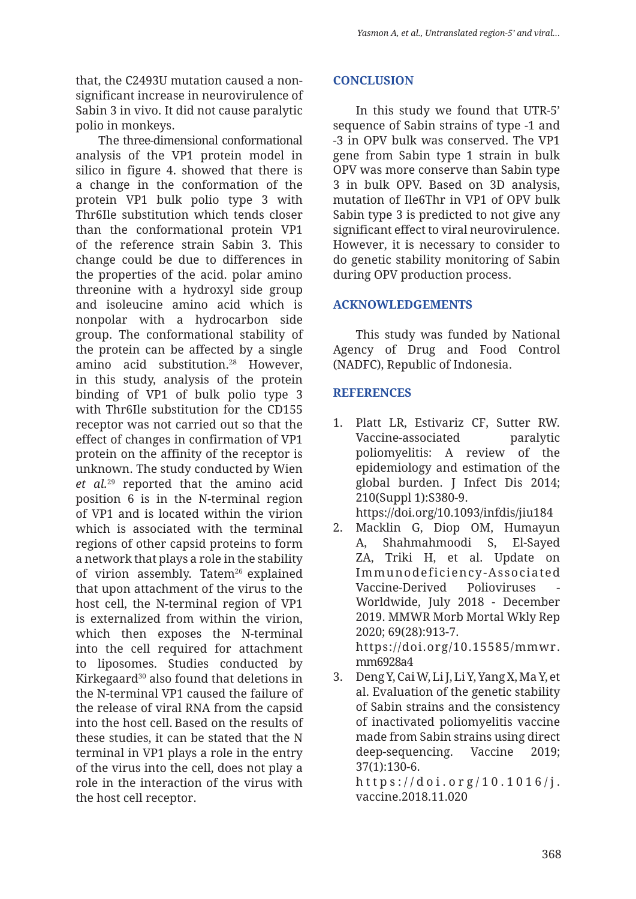that, the C2493U mutation caused a nonsignificant increase in neurovirulence of Sabin 3 in vivo. It did not cause paralytic polio in monkeys.

The three-dimensional conformational analysis of the VP1 protein model in silico in figure 4. showed that there is a change in the conformation of the protein VP1 bulk polio type 3 with Thr6Ile substitution which tends closer than the conformational protein VP1 of the reference strain Sabin 3. This change could be due to differences in the properties of the acid. polar amino threonine with a hydroxyl side group and isoleucine amino acid which is nonpolar with a hydrocarbon side group. The conformational stability of the protein can be affected by a single amino acid substitution.28 However, in this study, analysis of the protein binding of VP1 of bulk polio type 3 with Thr6Ile substitution for the CD155 receptor was not carried out so that the effect of changes in confirmation of VP1 protein on the affinity of the receptor is unknown. The study conducted by Wien *et al.*29 reported that the amino acid position 6 is in the N-terminal region of VP1 and is located within the virion which is associated with the terminal regions of other capsid proteins to form a network that plays a role in the stability of virion assembly. Tatem<sup>26</sup> explained that upon attachment of the virus to the host cell, the N-terminal region of VP1 is externalized from within the virion, which then exposes the N-terminal into the cell required for attachment to liposomes. Studies conducted by Kirkegaard<sup>30</sup> also found that deletions in the N-terminal VP1 caused the failure of the release of viral RNA from the capsid into the host cell. Based on the results of these studies, it can be stated that the N terminal in VP1 plays a role in the entry of the virus into the cell, does not play a role in the interaction of the virus with the host cell receptor.

### **CONCLUSION**

In this study we found that UTR-5' sequence of Sabin strains of type -1 and -3 in OPV bulk was conserved. The VP1 gene from Sabin type 1 strain in bulk OPV was more conserve than Sabin type 3 in bulk OPV. Based on 3D analysis, mutation of Ile6Thr in VP1 of OPV bulk Sabin type 3 is predicted to not give any significant effect to viral neurovirulence. However, it is necessary to consider to do genetic stability monitoring of Sabin during OPV production process.

#### **ACKNOWLEDGEMENTS**

This study was funded by National Agency of Drug and Food Control (NADFC), Republic of Indonesia.

#### **REFERENCES**

1. Platt LR, Estivariz CF, Sutter RW. Vaccine-associated paralytic poliomyelitis: A review of the epidemiology and estimation of the global burden. J Infect Dis 2014; 210(Suppl 1):S380-9.

https://doi.org/10.1093/infdis/jiu184

- 2. Macklin G, Diop OM, Humayun A, Shahmahmoodi S, El-Sayed ZA, Triki H, et al. Update on Immunodeficiency-Associated Vaccine-Derived Polioviruses Worldwide, July 2018 - December 2019. MMWR Morb Mortal Wkly Rep 2020; 69(28):913-7. https://doi.org/10.15585/mmwr. mm6928a4
- 3. Deng Y, Cai W, Li J, Li Y, Yang X, Ma Y, et al. Evaluation of the genetic stability of Sabin strains and the consistency of inactivated poliomyelitis vaccine made from Sabin strains using direct deep-sequencing. Vaccine 2019; 37(1):130-6.

https://doi.org/10.1016/j. vaccine.2018.11.020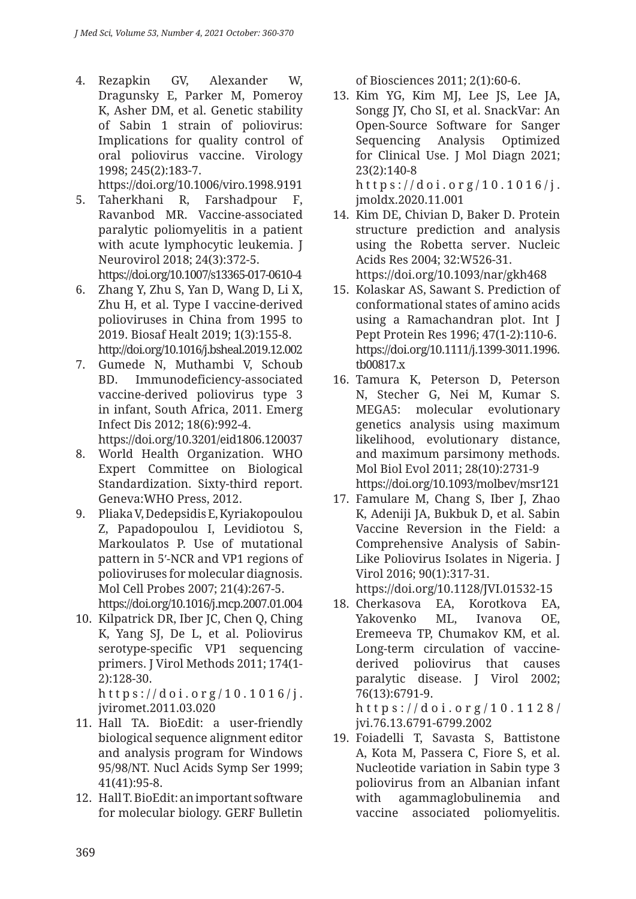4. Rezapkin GV, Alexander W, Dragunsky E, Parker M, Pomeroy K, Asher DM, et al. Genetic stability of Sabin 1 strain of poliovirus: Implications for quality control of oral poliovirus vaccine. Virology 1998; 245(2):183-7. https://doi.org/10.1006/viro.1998.9191

5. Taherkhani R, Farshadpour F, Ravanbod MR. Vaccine-associated paralytic poliomyelitis in a patient with acute lymphocytic leukemia. J Neurovirol 2018; 24(3):372-5. https://doi.org/10.1007/s13365-017-0610-4

- 6. Zhang Y, Zhu S, Yan D, Wang D, Li X, Zhu H, et al. Type I vaccine-derived polioviruses in China from 1995 to 2019. Biosaf Healt 2019; 1(3):155-8. http://doi.org/10.1016/j.bsheal.2019.12.002
- 7. Gumede N, Muthambi V, Schoub BD. Immunodeficiency-associated vaccine-derived poliovirus type 3 in infant, South Africa, 2011. Emerg Infect Dis 2012; 18(6):992-4. https://doi.org/10.3201/eid1806.120037
- 8. World Health Organization. WHO Expert Committee on Biological Standardization. Sixty-third report. Geneva:WHO Press, 2012.
- 9. Pliaka V, Dedepsidis E, Kyriakopoulou Z, Papadopoulou I, Levidiotou S, Markoulatos P. Use of mutational pattern in 5′-NCR and VP1 regions of polioviruses for molecular diagnosis. Mol Cell Probes 2007; 21(4):267-5. https://doi.org/10.1016/j.mcp.2007.01.004
- 10. Kilpatrick DR, Iber JC, Chen Q, Ching K, Yang SJ, De L, et al. Poliovirus serotype-specific VP1 sequencing primers. J Virol Methods 2011; 174(1- 2):128-30.

https://doi.org/10.1016/j. jviromet.2011.03.020

- 11. Hall TA. BioEdit: a user-friendly biological sequence alignment editor and analysis program for Windows 95/98/NT. Nucl Acids Symp Ser 1999; 41(41):95-8.
- 12. Hall T. BioEdit: an important software for molecular biology. GERF Bulletin

of Biosciences 2011; 2(1):60-6.

- 13. Kim YG, Kim MJ, Lee JS, Lee JA, Songg JY, Cho SI, et al. SnackVar: An Open-Source Software for Sanger Sequencing Analysis Optimized for Clinical Use. J Mol Diagn 2021; 23(2):140-8 https://doi.org/10.1016/j. jmoldx.2020.11.001
- 14. Kim DE, Chivian D, Baker D. Protein structure prediction and analysis using the Robetta server. Nucleic Acids Res 2004; 32:W526-31. https://doi.org/10.1093/nar/gkh468
- 15. Kolaskar AS, Sawant S. Prediction of conformational states of amino acids using a Ramachandran plot. Int J Pept Protein Res 1996; 47(1-2):110-6. https://doi.org/10.1111/j.1399-3011.1996. tb00817.x
- 16. Tamura K, Peterson D, Peterson N, Stecher G, Nei M, Kumar S. MEGA5: molecular evolutionary genetics analysis using maximum likelihood, evolutionary distance, and maximum parsimony methods. Mol Biol Evol 2011; 28(10):2731-9 https://doi.org/10.1093/molbev/msr121
- 17. Famulare M, Chang S, Iber J, Zhao K, Adeniji JA, Bukbuk D, et al. Sabin Vaccine Reversion in the Field: a Comprehensive Analysis of Sabin-Like Poliovirus Isolates in Nigeria. J Virol 2016; 90(1):317-31.

https://doi.org/10.1128/JVI.01532-15

18. Cherkasova EA, Korotkova EA, Yakovenko ML, Ivanova OE, Eremeeva TP, Chumakov KM, et al. Long-term circulation of vaccinederived poliovirus that causes paralytic disease. J Virol 2002; 76(13):6791-9. https://doi.org/10.1128/

jvi.76.13.6791-6799.2002

19. Foiadelli T, Savasta S, Battistone A, Kota M, Passera C, Fiore S, et al. Nucleotide variation in Sabin type 3 poliovirus from an Albanian infant with agammaglobulinemia and vaccine associated poliomyelitis.